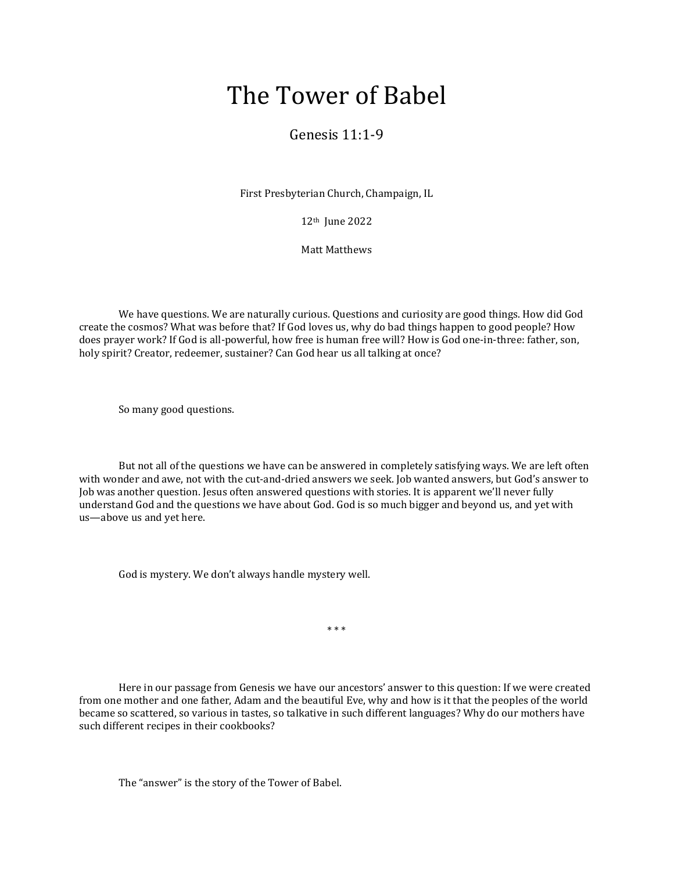## The Tower of Babel

## Genesis 11:1-9

First Presbyterian Church, Champaign, IL

12th June 2022

Matt Matthews

We have questions. We are naturally curious. Questions and curiosity are good things. How did God create the cosmos? What was before that? If God loves us, why do bad things happen to good people? How does prayer work? If God is all-powerful, how free is human free will? How is God one-in-three: father, son, holy spirit? Creator, redeemer, sustainer? Can God hear us all talking at once?

So many good questions.

But not all of the questions we have can be answered in completely satisfying ways. We are left often with wonder and awe, not with the cut-and-dried answers we seek. Job wanted answers, but God's answer to Job was another question. Jesus often answered questions with stories. It is apparent we'll never fully understand God and the questions we have about God. God is so much bigger and beyond us, and yet with us—above us and yet here.

God is mystery. We don't always handle mystery well.

\* \* \*

Here in our passage from Genesis we have our ancestors' answer to this question: If we were created from one mother and one father, Adam and the beautiful Eve, why and how is it that the peoples of the world became so scattered, so various in tastes, so talkative in such different languages? Why do our mothers have such different recipes in their cookbooks?

The "answer" is the story of the Tower of Babel.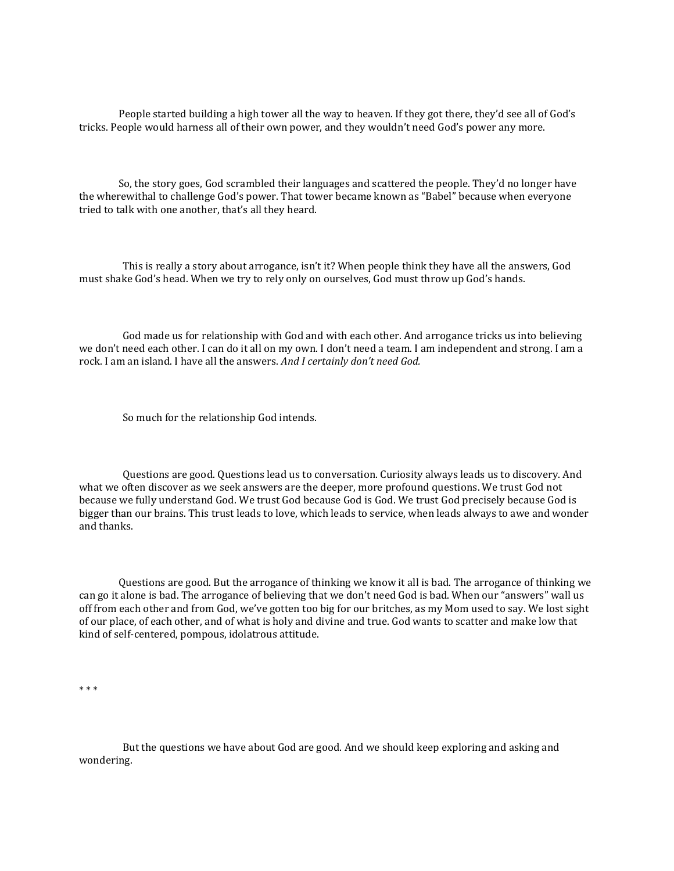People started building a high tower all the way to heaven. If they got there, they'd see all of God's tricks. People would harness all of their own power, and they wouldn't need God's power any more.

So, the story goes, God scrambled their languages and scattered the people. They'd no longer have the wherewithal to challenge God's power. That tower became known as "Babel" because when everyone tried to talk with one another, that's all they heard.

 This is really a story about arrogance, isn't it? When people think they have all the answers, God must shake God's head. When we try to rely only on ourselves, God must throw up God's hands.

 God made us for relationship with God and with each other. And arrogance tricks us into believing we don't need each other. I can do it all on my own. I don't need a team. I am independent and strong. I am a rock. I am an island. I have all the answers. *And I certainly don't need God.*

So much for the relationship God intends.

 Questions are good. Questions lead us to conversation. Curiosity always leads us to discovery. And what we often discover as we seek answers are the deeper, more profound questions. We trust God not because we fully understand God. We trust God because God is God. We trust God precisely because God is bigger than our brains. This trust leads to love, which leads to service, when leads always to awe and wonder and thanks.

Questions are good. But the arrogance of thinking we know it all is bad. The arrogance of thinking we can go it alone is bad. The arrogance of believing that we don't need God is bad. When our "answers" wall us off from each other and from God, we've gotten too big for our britches, as my Mom used to say. We lost sight of our place, of each other, and of what is holy and divine and true. God wants to scatter and make low that kind of self-centered, pompous, idolatrous attitude.

\* \* \*

 But the questions we have about God are good. And we should keep exploring and asking and wondering.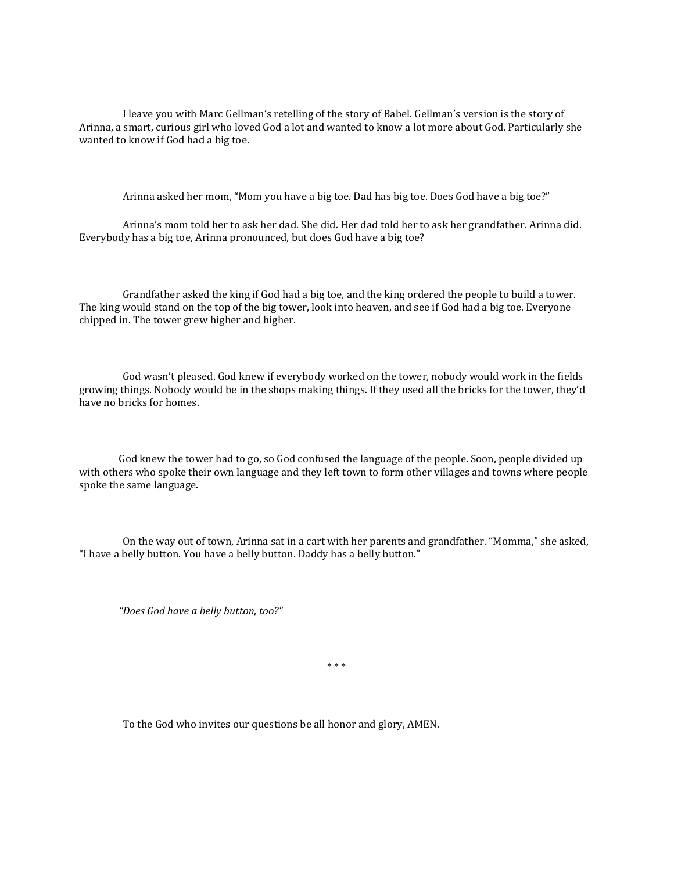I leave you with Marc Gellman's retelling of the story of Babel. Gellman's version is the story of Arinna, a smart, curious girl who loved God a lot and wanted to know a lot more about God. Particularly she wanted to know if God had a big toe.

Arinna asked her mom, "Mom you have a big toe. Dad has big toe. Does God have a big toe?"

 Arinna's mom told her to ask her dad. She did. Her dad told her to ask her grandfather. Arinna did. Everybody has a big toe, Arinna pronounced, but does God have a big toe?

 Grandfather asked the king if God had a big toe, and the king ordered the people to build a tower. The king would stand on the top of the big tower, look into heaven, and see if God had a big toe. Everyone chipped in. The tower grew higher and higher.

 God wasn't pleased. God knew if everybody worked on the tower, nobody would work in the fields growing things. Nobody would be in the shops making things. If they used all the bricks for the tower, they'd have no bricks for homes.

God knew the tower had to go, so God confused the language of the people. Soon, people divided up with others who spoke their own language and they left town to form other villages and towns where people spoke the same language.

 On the way out of town, Arinna sat in a cart with her parents and grandfather. "Momma," she asked, "I have a belly button. You have a belly button. Daddy has a belly button."

*"Does God have a belly button, too?"*

\* \* \*

To the God who invites our questions be all honor and glory, AMEN.